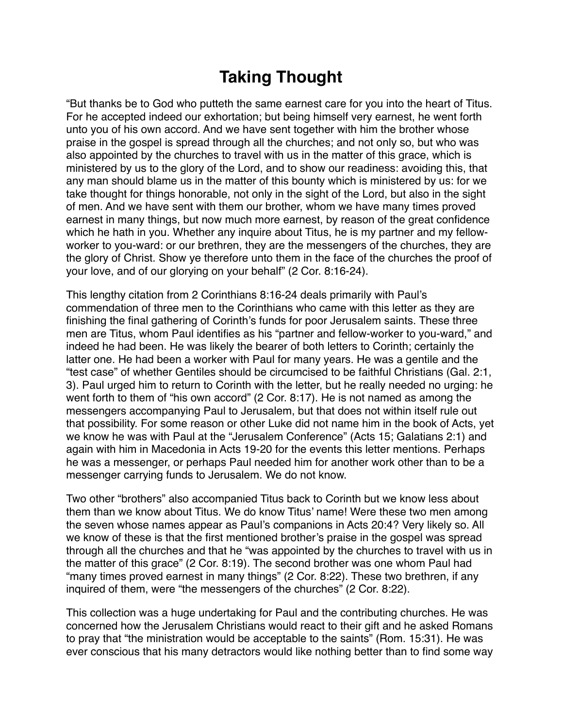## **Taking Thought**

"But thanks be to God who putteth the same earnest care for you into the heart of Titus. For he accepted indeed our exhortation; but being himself very earnest, he went forth unto you of his own accord. And we have sent together with him the brother whose praise in the gospel is spread through all the churches; and not only so, but who was also appointed by the churches to travel with us in the matter of this grace, which is ministered by us to the glory of the Lord, and to show our readiness: avoiding this, that any man should blame us in the matter of this bounty which is ministered by us: for we take thought for things honorable, not only in the sight of the Lord, but also in the sight of men. And we have sent with them our brother, whom we have many times proved earnest in many things, but now much more earnest, by reason of the great confidence which he hath in you. Whether any inquire about Titus, he is my partner and my fellowworker to you-ward: or our brethren, they are the messengers of the churches, they are the glory of Christ. Show ye therefore unto them in the face of the churches the proof of your love, and of our glorying on your behalf" (2 Cor. 8:16-24).

This lengthy citation from 2 Corinthians 8:16-24 deals primarily with Paul's commendation of three men to the Corinthians who came with this letter as they are finishing the final gathering of Corinth's funds for poor Jerusalem saints. These three men are Titus, whom Paul identifies as his "partner and fellow-worker to you-ward," and indeed he had been. He was likely the bearer of both letters to Corinth; certainly the latter one. He had been a worker with Paul for many years. He was a gentile and the "test case" of whether Gentiles should be circumcised to be faithful Christians (Gal. 2:1, 3). Paul urged him to return to Corinth with the letter, but he really needed no urging: he went forth to them of "his own accord" (2 Cor. 8:17). He is not named as among the messengers accompanying Paul to Jerusalem, but that does not within itself rule out that possibility. For some reason or other Luke did not name him in the book of Acts, yet we know he was with Paul at the "Jerusalem Conference" (Acts 15; Galatians 2:1) and again with him in Macedonia in Acts 19-20 for the events this letter mentions. Perhaps he was a messenger, or perhaps Paul needed him for another work other than to be a messenger carrying funds to Jerusalem. We do not know.

Two other "brothers" also accompanied Titus back to Corinth but we know less about them than we know about Titus. We do know Titus' name! Were these two men among the seven whose names appear as Paul's companions in Acts 20:4? Very likely so. All we know of these is that the first mentioned brother's praise in the gospel was spread through all the churches and that he "was appointed by the churches to travel with us in the matter of this grace" (2 Cor. 8:19). The second brother was one whom Paul had "many times proved earnest in many things" (2 Cor. 8:22). These two brethren, if any inquired of them, were "the messengers of the churches" (2 Cor. 8:22).

This collection was a huge undertaking for Paul and the contributing churches. He was concerned how the Jerusalem Christians would react to their gift and he asked Romans to pray that "the ministration would be acceptable to the saints" (Rom. 15:31). He was ever conscious that his many detractors would like nothing better than to find some way